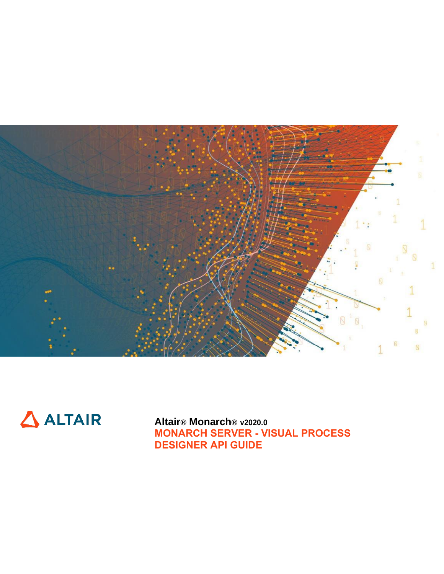



**Altair® Monarch® v2020.0 MONARCH SERVER - VISUAL PROCESS DESIGNER API GUIDE**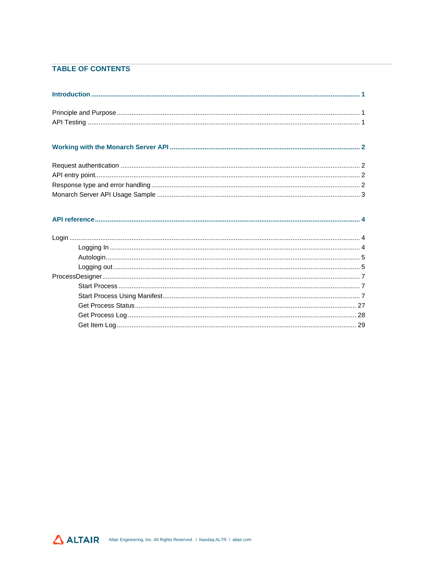## **TABLE OF CONTENTS**

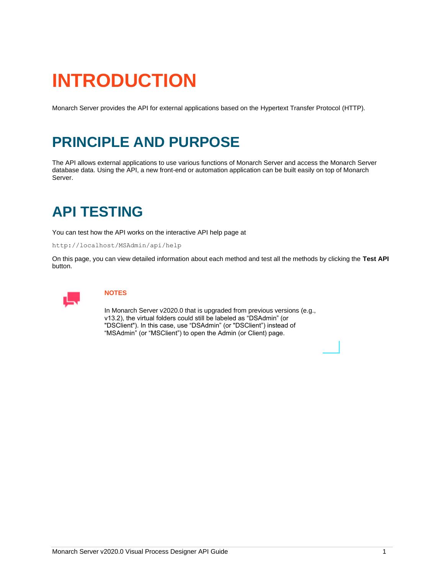# <span id="page-2-0"></span>**INTRODUCTION**

<span id="page-2-1"></span>Monarch Server provides the API for external applications based on the Hypertext Transfer Protocol (HTTP).

# **PRINCIPLE AND PURPOSE**

The API allows external applications to use various functions of Monarch Server and access the Monarch Server database data. Using the API, a new front-end or automation application can be built easily on top of Monarch Server.

# <span id="page-2-2"></span>**API TESTING**

You can test how the API works on the interactive API help page at

http://localhost/MSAdmin/api/help

On this page, you can view detailed information about each method and test all the methods by clicking the **Test API**  button.



### **NOTES**

In Monarch Server v2020.0 that is upgraded from previous versions (e.g., v13.2), the virtual folders could still be labeled as "DSAdmin" (or "DSClient"). In this case, use "DSAdmin" (or "DSClient") instead of "MSAdmin" (or "MSClient") to open the Admin (or Client) page.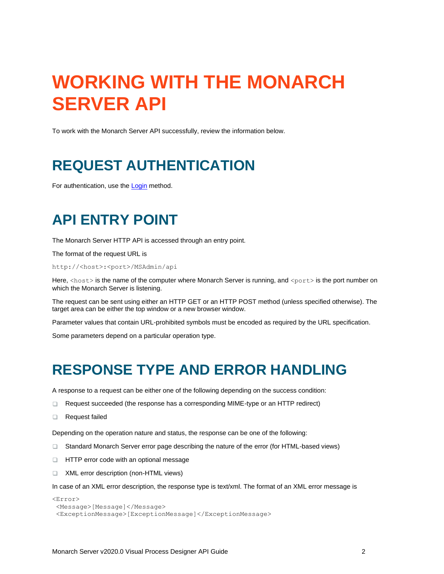# <span id="page-3-0"></span>**WORKING WITH THE MONARCH SERVER API**

<span id="page-3-1"></span>To work with the Monarch Server API successfully, review the information below.

# **REQUEST AUTHENTICATION**

<span id="page-3-2"></span>For authentication, use the [Login](#page-5-1) method.

# **API ENTRY POINT**

The Monarch Server HTTP API is accessed through an entry point.

The format of the request URL is

http://<host>:<port>/MSAdmin/api

Here, <host> is the name of the computer where Monarch Server is running, and <port> is the port number on which the Monarch Server is listening.

The request can be sent using either an HTTP GET or an HTTP POST method (unless specified otherwise). The target area can be either the top window or a new browser window.

Parameter values that contain URL-prohibited symbols must be encoded as required by the URL specification.

<span id="page-3-3"></span>Some parameters depend on a particular operation type.

# **RESPONSE TYPE AND ERROR HANDLING**

A response to a request can be either one of the following depending on the success condition:

- $\Box$ Request succeeded (the response has a corresponding MIME-type or an HTTP redirect)
- $\Box$ Request failed

Depending on the operation nature and status, the response can be one of the following:

- Standard Monarch Server error page describing the nature of the error (for HTML-based views)
- **HTTP** error code with an optional message
- XML error description (non-HTML views)  $\Box$

In case of an XML error description, the response type is text/xml. The format of an XML error message is

```
<Error>
<Message>[Message]</Message>
<ExceptionMessage>[ExceptionMessage]</ExceptionMessage>
```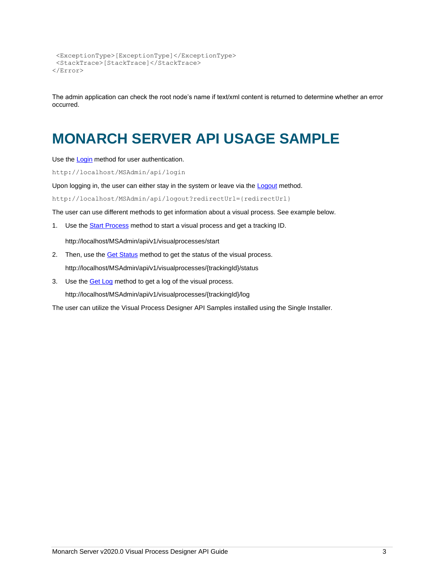```
<ExceptionType>[ExceptionType]</ExceptionType>
<StackTrace>[StackTrace]</StackTrace>
</Error>
```
The admin application can check the root node's name if text/xml content is returned to determine whether an error occurred.

# <span id="page-4-0"></span>**MONARCH SERVER API USAGE SAMPLE**

Use th[e Login](#page-5-1) method for user authentication.

http://localhost/MSAdmin/api/login

Upon logging in, the user can either stay in the system or leave via th[e Logout](#page-6-1) method.

http://localhost/MSAdmin/api/logout?redirectUrl={redirectUrl}

The user can use different methods to get information about a visual process. See example below.

1. Use th[e Start Process](#page-8-1) method to start a visual process and get a tracking ID.

http://localhost/MSAdmin/api/v1/visualprocesses/start

- 2. Then, use th[e Get Status](#page-28-0) method to get the status of the visual process. http://localhost/MSAdmin/api/v1/visualprocesses/{trackingId}/status
- 3. Use the **Get Log** method to get a log of the visual process. http://localhost/MSAdmin/api/v1/visualprocesses/{trackingId}/log

The user can utilize the Visual Process Designer API Samples installed using the Single Installer.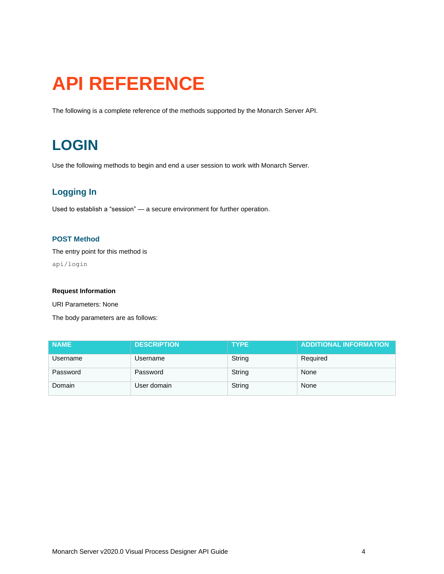# <span id="page-5-0"></span>**API REFERENCE**

<span id="page-5-1"></span>The following is a complete reference of the methods supported by the Monarch Server API.

# **LOGIN**

Use the following methods to begin and end a user session to work with Monarch Server.

# <span id="page-5-2"></span>**Logging In**

Used to establish a "session" — a secure environment for further operation.

### **POST Method**

The entry point for this method is

api/login

#### **Request Information**

URI Parameters: None

The body parameters are as follows:

| <b>NAME</b> | <b>DESCRIPTION</b> | <b>TYPE</b> | <b>ADDITIONAL INFORMATION</b> |
|-------------|--------------------|-------------|-------------------------------|
| Username    | Username           | String      | Required                      |
| Password    | Password           | String      | None                          |
| Domain      | User domain        | String      | None                          |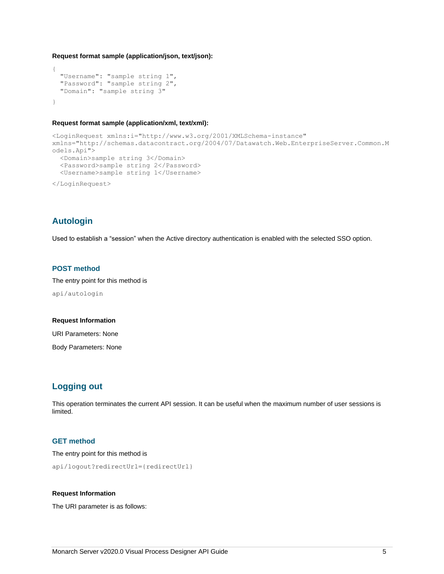#### **Request format sample (application/json, text/json):**

```
{
  "Username": "sample string 1",
  "Password": "sample string 2",
  "Domain": "sample string 3"
}
```
#### **Request format sample (application/xml, text/xml):**

```
<LoginRequest xmlns:i="http://www.w3.org/2001/XMLSchema-instance" 
xmlns="http://schemas.datacontract.org/2004/07/Datawatch.Web.EnterpriseServer.Common.M
odels.Api">
  <Domain>sample string 3</Domain>
  <Password>sample string 2</Password>
  <Username>sample string 1</Username>
</LoginRequest>
```
# <span id="page-6-0"></span>**Autologin**

Used to establish a "session" when the Active directory authentication is enabled with the selected SSO option.

### **POST method**

The entry point for this method is api/autologin

#### **Request Information**

URI Parameters: None

Body Parameters: None

# <span id="page-6-1"></span>**Logging out**

This operation terminates the current API session. It can be useful when the maximum number of user sessions is limited.

#### **GET method**

The entry point for this method is

api/logout?redirectUrl={redirectUrl}

#### **Request Information**

The URI parameter is as follows: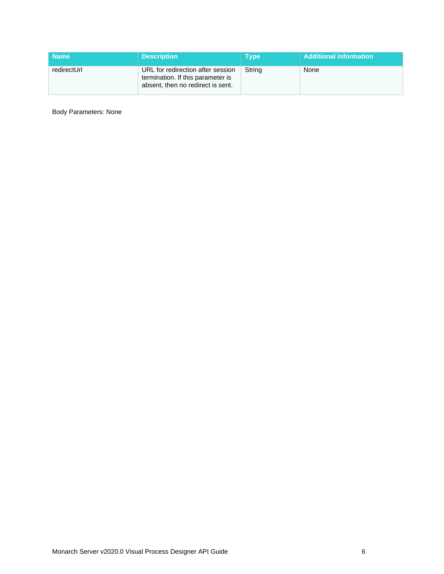| <b>Name</b> | <b>Description</b>                                                                                          | <b>Type</b> | <b>Additional information</b> |
|-------------|-------------------------------------------------------------------------------------------------------------|-------------|-------------------------------|
| redirectUrl | URL for redirection after session<br>termination. If this parameter is<br>absent, then no redirect is sent. | String      | None                          |

Body Parameters: None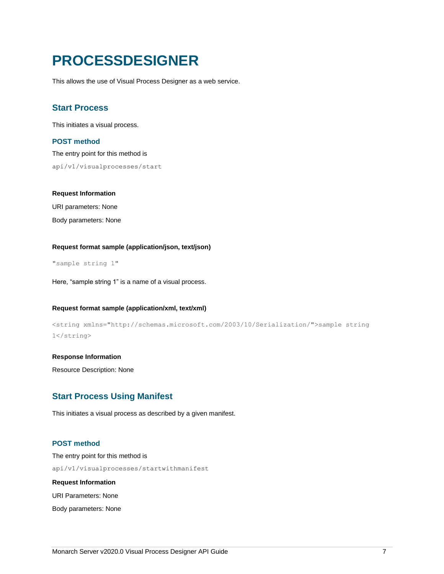# <span id="page-8-0"></span>**PROCESSDESIGNER**

This allows the use of Visual Process Designer as a web service.

### <span id="page-8-1"></span>**Start Process**

This initiates a visual process.

#### **POST method**

The entry point for this method is api/v1/visualprocesses/start

#### **Request Information**

URI parameters: None Body parameters: None

#### **Request format sample (application/json, text/json)**

"sample string 1"

Here, "sample string 1" is a name of a visual process.

#### **Request format sample (application/xml, text/xml)**

```
<string xmlns="http://schemas.microsoft.com/2003/10/Serialization/">sample string 
1</string>
```
#### **Response Information**

Resource Description: None

## <span id="page-8-2"></span>**Start Process Using Manifest**

This initiates a visual process as described by a given manifest.

#### **POST method**

The entry point for this method is api/v1/visualprocesses/startwithmanifest **Request Information**

URI Parameters: None

Body parameters: None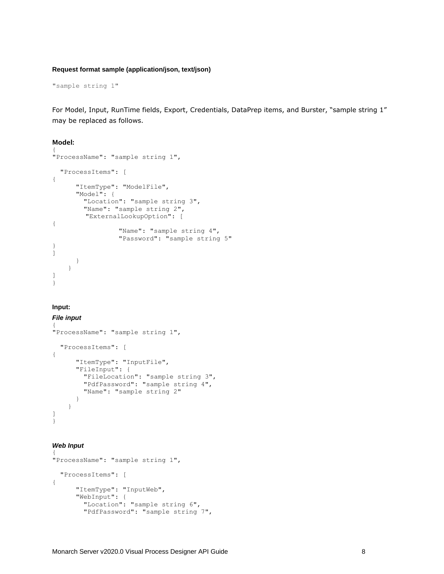#### **Request format sample (application/json, text/json)**

"sample string 1"

For Model, Input, RunTime fields, Export, Credentials, DataPrep items, and Burster, "sample string 1" may be replaced as follows.

#### Model: {

```
"ProcessName": "sample string 1", 
   "ProcessItems": [
{
       "ItemType": "ModelFile",
       "Model": {
         "Location": "sample string 3",
         "Name": "sample string 2", 
        "ExternalLookupOption": [
{
                  "Name": "sample string 4",
                  "Password": "sample string 5"
}
]
 }
     }
]
}
```
#### **Input:**

#### *File input*

```
{
"ProcessName": "sample string 1", 
  "ProcessItems": [
{
      "ItemType": "InputFile",
      "FileInput": {
 "FileLocation": "sample string 3",
 "PdfPassword": "sample string 4",
        "Name": "sample string 2"
      }
    }
]
}
```
#### *Web Input*

```
{
"ProcessName": "sample string 1", 
   "ProcessItems": [
{
       "ItemType": "InputWeb",
       "WebInput": {
         "Location": "sample string 6",
         "PdfPassword": "sample string 7",
```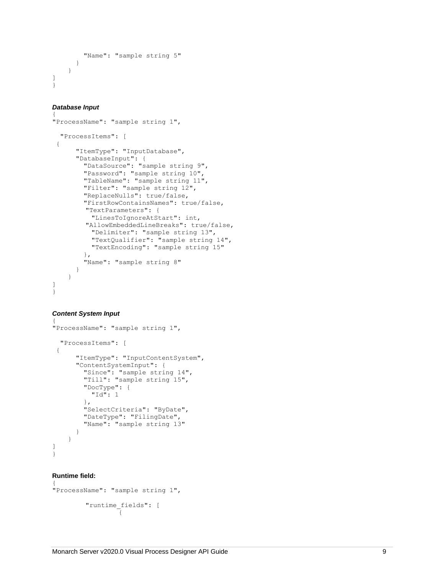```
 "Name": "sample string 5"
      }
    }
]}
```
#### *Database Input*

```
{
"ProcessName": "sample string 1", 
   "ProcessItems": [ {
       "ItemType": "InputDatabase",
 "DatabaseInput": {
 "DataSource": "sample string 9",
         "Password": "sample string 10",
         "TableName": "sample string 11",
         "Filter": "sample string 12",
         "ReplaceNulls": true/false,
         "FirstRowContainsNames": true/false,
        "TextParameters": {
           "LinesToIgnoreAtStart": int,
        "AllowEmbeddedLineBreaks": true/false,
           "Delimiter": "sample string 13",
           "TextQualifier": "sample string 14",
           "TextEncoding": "sample string 15"
         },
         "Name": "sample string 8"
      }
    }
]}
```
#### *Content System Input* {

```
"ProcessName": "sample string 1", 
   "ProcessItems": [ {
       "ItemType": "InputContentSystem",
       "ContentSystemInput": {
         "Since": "sample string 14",
         "Till": "sample string 15",
         "DocType": {
           "Id": 1
         },
         "SelectCriteria": "ByDate",
         "DateType": "FilingDate",
         "Name": "sample string 13"
      }
    }
]}
```
#### **Runtime field:**

```
{
"ProcessName": "sample string 1",
        "runtime_fields": [ {
```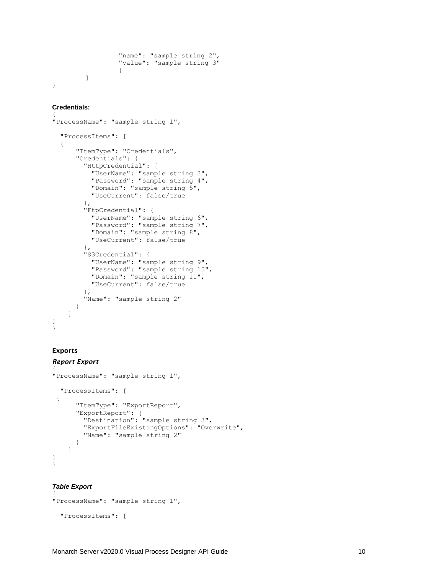```
"name": "sample string 2", 
                  "value": "sample string 3"
                  }
         ]
}
```
#### **Credentials:**

```
{
"ProcessName": "sample string 1", 
   "ProcessItems": [
   {
       "ItemType": "Credentials",
       "Credentials": {
         "HttpCredential": {
 "UserName": "sample string 3",
 "Password": "sample string 4",
           "Domain": "sample string 5",
           "UseCurrent": false/true
        },
         "FtpCredential": {
           "UserName": "sample string 6",
           "Password": "sample string 7",
           "Domain": "sample string 8",
           "UseCurrent": false/true
 },
 "S3Credential": {
           "UserName": "sample string 9",
           "Password": "sample string 10",
          "Domain": "sample string 11",
          "UseCurrent": false/true
        },
         "Name": "sample string 2"
      }
    }
]
}
```
### Exports

#### *Report Export* {

```
"ProcessName": "sample string 1", 
   "ProcessItems": [
 {
       "ItemType": "ExportReport",
       "ExportReport": {
         "Destination": "sample string 3",
         "ExportFileExistingOptions": "Overwrite",
         "Name": "sample string 2"
       }
     }
]
}
```
#### *Table Export*

```
{
"ProcessName": "sample string 1", 
   "ProcessItems": [
```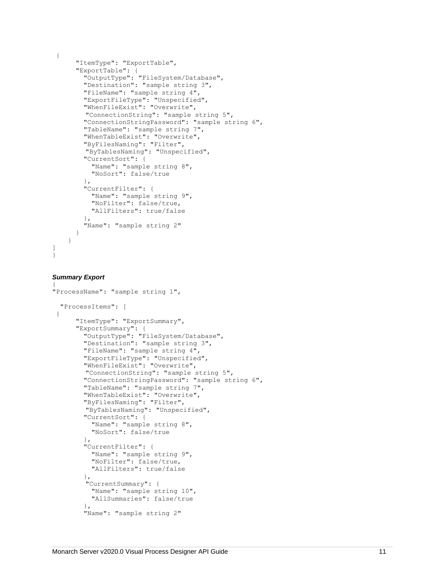```
{
       "ItemType": "ExportTable",
       "ExportTable": {
         "OutputType": "FileSystem/Database",
         "Destination": "sample string 3",
         "FileName": "sample string 4",
 "ExportFileType": "Unspecified",
 "WhenFileExist": "Overwrite",
        "ConnectionString": "sample string 5",
         "ConnectionStringPassword": "sample string 6",
         "TableName": "sample string 7",
         "WhenTableExist": "Overwrite",
         "ByFilesNaming": "Filter", 
        "ByTablesNaming": "Unspecified",
         "CurrentSort": {
           "Name": "sample string 8",
           "NoSort": false/true
         },
         "CurrentFilter": {
           "Name": "sample string 9",
           "NoFilter": false/true,
           "AllFilters": true/false
         },
         "Name": "sample string 2"
       }
     }
]
}
```
#### *Summary Export* {

```
"ProcessName": "sample string 1", 
   "ProcessItems": [
 {
       "ItemType": "ExportSummary",
       "ExportSummary": {
         "OutputType": "FileSystem/Database",
         "Destination": "sample string 3",
         "FileName": "sample string 4",
         "ExportFileType": "Unspecified",
         "WhenFileExist": "Overwrite",
        "ConnectionString": "sample string 5",
         "ConnectionStringPassword": "sample string 6",
         "TableName": "sample string 7",
         "WhenTableExist": "Overwrite",
         "ByFilesNaming": "Filter", 
         "ByTablesNaming": "Unspecified",
         "CurrentSort": {
           "Name": "sample string 8",
           "NoSort": false/true
         },
         "CurrentFilter": {
           "Name": "sample string 9",
           "NoFilter": false/true,
           "AllFilters": true/false
         },
        "CurrentSummary": {
           "Name": "sample string 10",
           "AllSummaries": false/true
         },
         "Name": "sample string 2"
```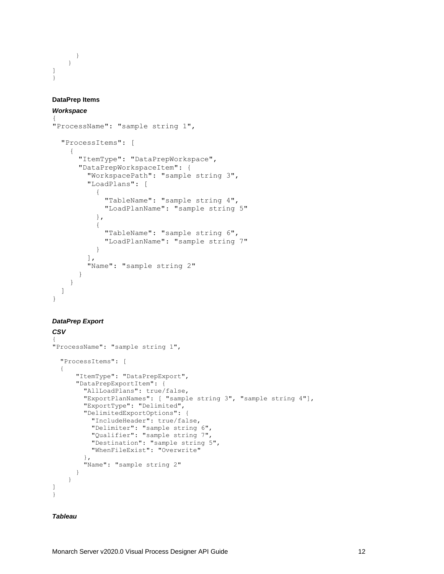} } ] }

#### **DataPrep Items**

#### *Workspace*

```
{
"ProcessName": "sample string 1",
   "ProcessItems": [
     {
       "ItemType": "DataPrepWorkspace",
       "DataPrepWorkspaceItem": {
         "WorkspacePath": "sample string 3",
         "LoadPlans": [
\{ "TableName": "sample string 4",
             "LoadPlanName": "sample string 5"
           },
 {
             "TableName": "sample string 6",
             "LoadPlanName": "sample string 7"
 }
        \frac{1}{2},
         "Name": "sample string 2"
       }
     }
  ]
}
```
#### *DataPrep Export*

```
CSV
{
"ProcessName": "sample string 1", 
   "ProcessItems": [
   {
       "ItemType": "DataPrepExport",
       "DataPrepExportItem": {
         "AllLoadPlans": true/false,
         "ExportPlanNames": [ "sample string 3", "sample string 4"],
         "ExportType": "Delimited",
         "DelimitedExportOptions": {
           "IncludeHeader": true/false,
           "Delimiter": "sample string 6",
           "Qualifier": "sample string 7",
           "Destination": "sample string 5",
           "WhenFileExist": "Overwrite"
         },
         "Name": "sample string 2"
       }
     }
]
}
```
#### *Tableau*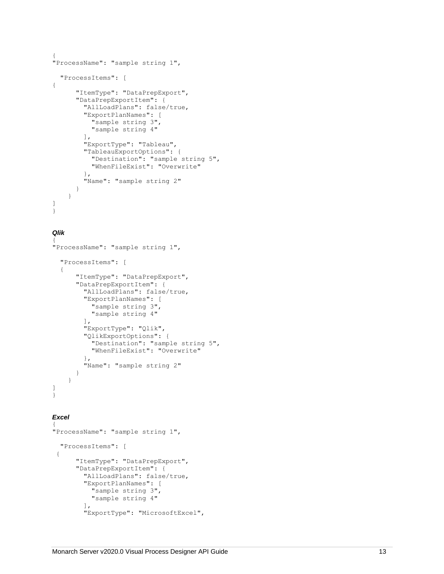```
"ProcessName": "sample string 1", 
   "ProcessItems": [ {
       "ItemType": "DataPrepExport",
       "DataPrepExportItem": {
         "AllLoadPlans": false/true,
          "ExportPlanNames": [
            "sample string 3",
            "sample string 4"
         \frac{1}{\sqrt{2}} "ExportType": "Tableau",
          "TableauExportOptions": {
            "Destination": "sample string 5",
            "WhenFileExist": "Overwrite"
         },
         "Name": "sample string 2"
      }
    }
]}
```
#### *Qlik*

```
Monarch Server v2021.<br>
Monarch Server v2020.0 Visual Process Designer Visual Process Designer Visual Process Designer Visual Process Designer Visual Process Designer Visual Process Designer Visual Process Designer Visual 
{
"ProcessName": "sample string 1", 
   "ProcessItems": [
  {
         "ItemType": "DataPrepExport",
         "DataPrepExportItem": {
           "AllLoadPlans": false/true,
           "ExportPlanNames": [
              "sample string 3",
              "sample string 4"
 ],
 "ExportType": "Qlik",
           "QlikExportOptions": {
              "Destination": "sample string 5",
              "WhenFileExist": "Overwrite"
           },
           "Name": "sample string 2"
       }
     }
]}
```
#### *Excel*

```
{
"ProcessName": "sample string 1", 
   "ProcessItems": [ {
       "ItemType": "DataPrepExport",
       "DataPrepExportItem": {
         "AllLoadPlans": false/true,
         "ExportPlanNames": [
           "sample string 3",
           "sample string 4"
         ],
         "ExportType": "MicrosoftExcel",
```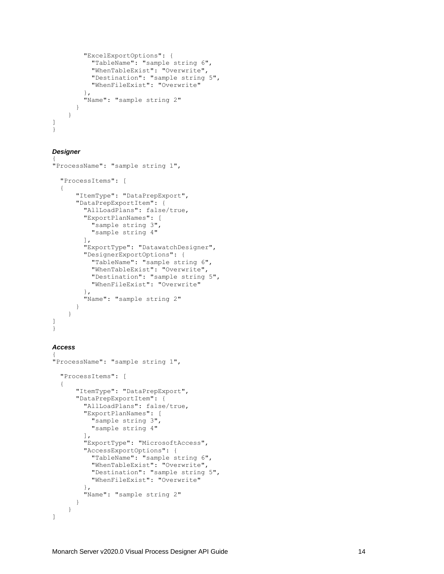```
 "ExcelExportOptions": {
           "TableName": "sample string 6",
           "WhenTableExist": "Overwrite",
           "Destination": "sample string 5",
           "WhenFileExist": "Overwrite"
         },
         "Name": "sample string 2"
      }
    }
]}
```
#### *Designer*

```
{
"ProcessName": "sample string 1", 
   "ProcessItems": [
  {
       "ItemType": "DataPrepExport",
      "DataPrepExportItem": {
         "AllLoadPlans": false/true,
         "ExportPlanNames": [
           "sample string 3",
           "sample string 4"
         ],
         "ExportType": "DatawatchDesigner",
         "DesignerExportOptions": {
           "TableName": "sample string 6",
           "WhenTableExist": "Overwrite",
           "Destination": "sample string 5",
           "WhenFileExist": "Overwrite"
         },
         "Name": "sample string 2"
      }
    }
]}
```
#### *Access*

```
{
"ProcessName": "sample string 1", 
   "ProcessItems": [
  {
       "ItemType": "DataPrepExport",
       "DataPrepExportItem": {
         "AllLoadPlans": false/true,
          "ExportPlanNames": [
            "sample string 3",
            "sample string 4"
        \frac{1}{2},
        "ExportType": "MicrosoftAccess",
         "AccessExportOptions": {
            "TableName": "sample string 6",
            "WhenTableExist": "Overwrite",
           "Destination": "sample string 5",
           "WhenFileExist": "Overwrite"
         },
         "Name": "sample string 2"
      }
    }
]
```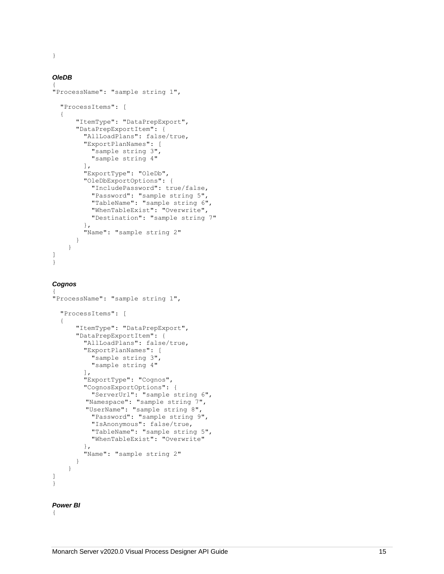#### *OleDB*

```
Mondert Server v2020.0 Visual Process Designer Visual Process Designer API Guide 15 }<br>
Western variable the server variable transformation of the server variable transformation of the server variable transformation of the
{
"ProcessName": "sample string 1", 
   "ProcessItems": [
  {
        "ItemType": "DataPrepExport",
        "DataPrepExportItem": {
           "AllLoadPlans": false/true,
           "ExportPlanNames": [
             "sample string 3",
              "sample string 4"
          \cdot "ExportType": "OleDb",
           "OleDbExportOptions": {
              "IncludePassword": true/false,
 "Password": "sample string 5",
 "TableName": "sample string 6",
              "WhenTableExist": "Overwrite",
              "Destination": "sample string 7"
           },
           "Name": "sample string 2"
       }
     }
]}
```

```
Cognos
```

```
{
"ProcessName": "sample string 1", 
   "ProcessItems": [
  {
       "ItemType": "DataPrepExport",
       "DataPrepExportItem": {
         "AllLoadPlans": false/true,
         "ExportPlanNames": [
           "sample string 3",
           "sample string 4"
        \frac{1}{2},
         "ExportType": "Cognos",
         "CognosExportOptions": {
           "ServerUrl": "sample string 6", 
         "Namespace": "sample string 7", 
         "UserName": "sample string 8", 
           "Password": "sample string 9",
            "IsAnonymous": false/true,
            "TableName": "sample string 5",
            "WhenTableExist": "Overwrite"
         },
         "Name": "sample string 2"
      }
    }
]}
```
#### *Power BI*

{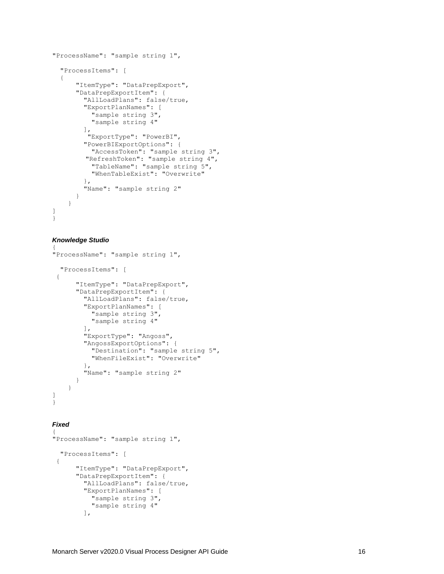```
"ProcessName": "sample string 1", 
   "ProcessItems": [
  {
       "ItemType": "DataPrepExport",
       "DataPrepExportItem": {
         "AllLoadPlans": false/true,
         "ExportPlanNames": [
           "sample string 3",
           "sample string 4"
         ],
          "ExportType": "PowerBI",
         "PowerBIExportOptions": {
           "AccessToken": "sample string 3",
         "RefreshToken": "sample string 4",
          "TableName": "sample string 5",
           "WhenTableExist": "Overwrite"
         },
         "Name": "sample string 2"
      }
    }
]}
```
#### *Knowledge Studio*

```
{
"ProcessName": "sample string 1", 
   "ProcessItems": [ {
       "ItemType": "DataPrepExport",
       "DataPrepExportItem": {
         "AllLoadPlans": false/true,
         "ExportPlanNames": [
           "sample string 3",
           "sample string 4"
        \frac{1}{2} "ExportType": "Angoss",
         "AngossExportOptions": {
          "Destination": "sample string 5",
 "WhenFileExist": "Overwrite"
         },
         "Name": "sample string 2"
      }
    }
]}
```
#### *Fixed*

```
{
"ProcessName": "sample string 1", 
   "ProcessItems": [ {
       "ItemType": "DataPrepExport",
      "DataPrepExportItem": {
         "AllLoadPlans": false/true,
         "ExportPlanNames": [
           "sample string 3",
           "sample string 4"
         ],
```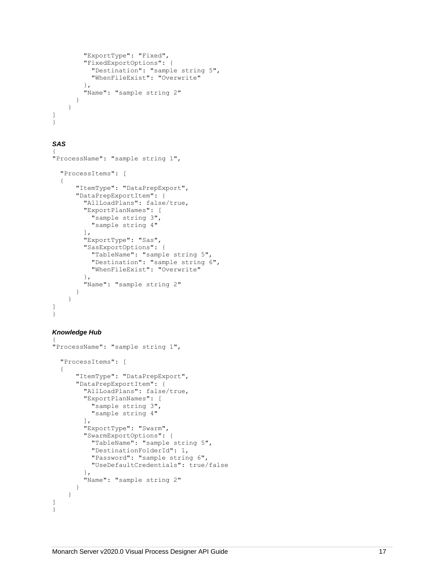```
 "ExportType": "Fixed",
         "FixedExportOptions": {
           "Destination": "sample string 5",
           "WhenFileExist": "Overwrite"
         },
         "Name": "sample string 2"
      }
    }
]}
```
### *SAS*

```
{
"ProcessName": "sample string 1", 
   "ProcessItems": [
  {
       "ItemType": "DataPrepExport",
       "DataPrepExportItem": {
         "AllLoadPlans": false/true,
          "ExportPlanNames": [
            "sample string 3",
            "sample string 4"
        \frac{1}{2} "ExportType": "Sas",
         "SasExportOptions": {
            "TableName": "sample string 5",
            "Destination": "sample string 6",
            "WhenFileExist": "Overwrite"
         },
         "Name": "sample string 2"
      }
    }
]}
```
#### *Knowledge Hub*

```
{
"ProcessName": "sample string 1", 
   "ProcessItems": [
  {
       "ItemType": "DataPrepExport",
      "DataPrepExportItem": {
         "AllLoadPlans": false/true,
         "ExportPlanNames": [
           "sample string 3",
            "sample string 4"
        \frac{1}{2},
         "ExportType": "Swarm",
         "SwarmExportOptions": {
           "TableName": "sample string 5",
           "DestinationFolderId": 1,
           "Password": "sample string 6",
           "UseDefaultCredentials": true/false
         },
         "Name": "sample string 2"
      }
    }
]}
```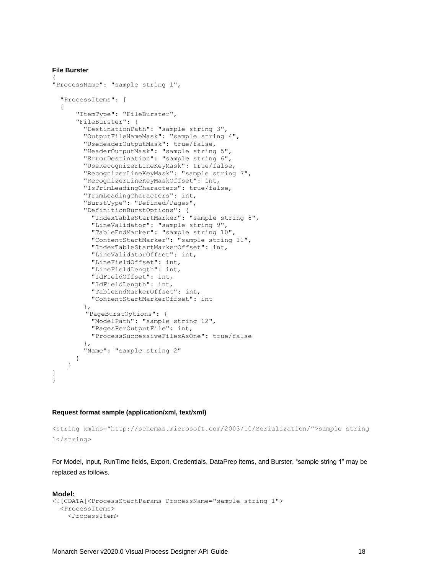#### **File Burster**

```
{
"ProcessName": "sample string 1", 
   "ProcessItems": [
\{ "ItemType": "FileBurster",
       "FileBurster": {
         "DestinationPath": "sample string 3",
         "OutputFileNameMask": "sample string 4",
         "UseHeaderOutputMask": true/false,
         "HeaderOutputMask": "sample string 5",
         "ErrorDestination": "sample string 6",
         "UseRecognizerLineKeyMask": true/false,
         "RecognizerLineKeyMask": "sample string 7",
         "RecognizerLineKeyMaskOffset": int,
         "IsTrimLeadingCharacters": true/false,
         "TrimLeadingCharacters": int,
         "BurstType": "Defined/Pages",
         "DefinitionBurstOptions": {
           "IndexTableStartMarker": "sample string 8",
           "LineValidator": "sample string 9",
           "TableEndMarker": "sample string 10",
           "ContentStartMarker": "sample string 11",
           "IndexTableStartMarkerOffset": int,
           "LineValidatorOffset": int,
           "LineFieldOffset": int,
           "LineFieldLength": int,
           "IdFieldOffset": int,
           "IdFieldLength": int,
           "TableEndMarkerOffset": int,
           "ContentStartMarkerOffset": int
         },
         "PageBurstOptions": {
           "ModelPath": "sample string 12",
           "PagesPerOutputFile": int,
           "ProcessSuccessiveFilesAsOne": true/false
         },
         "Name": "sample string 2"
       }
     }
\mathbf{I}}
```
#### **Request format sample (application/xml, text/xml)**

```
<string xmlns="http://schemas.microsoft.com/2003/10/Serialization/">sample string 
1</string>
```
For Model, Input, RunTime fields, Export, Credentials, DataPrep items, and Burster, "sample string 1" may be replaced as follows.

```
Model:
<![CDATA[<ProcessStartParams ProcessName="sample string 1">
   <ProcessItems>
     <ProcessItem>
```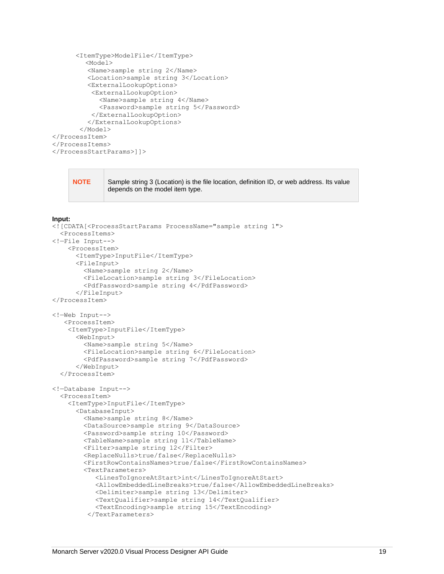```
 <ItemType>ModelFile</ItemType>
         <Model>
          <Name>sample string 2</Name>
          <Location>sample string 3</Location>
          <ExternalLookupOptions>
           <ExternalLookupOption>
             <Name>sample string 4</Name>
             <Password>sample string 5</Password>
           </ExternalLookupOption>
          </ExternalLookupOptions>
        </Model>
</ProcessItem>
</ProcessItems>
</ProcessStartParams>]]>
```
**NOTE** Sample string 3 (Location) is the file location, definition ID, or web address. Its value depends on the model item type.

#### **Input:**

```
<![CDATA[<ProcessStartParams ProcessName="sample string 1">
   <ProcessItems>
<!—File Input-->
     <ProcessItem>
       <ItemType>InputFile</ItemType>
       <FileInput>
         <Name>sample string 2</Name>
         <FileLocation>sample string 3</FileLocation>
         <PdfPassword>sample string 4</PdfPassword>
       </FileInput>
</ProcessItem>
<!—Web Input-->
    <ProcessItem>
     <ItemType>InputFile</ItemType>
       <WebInput>
         <Name>sample string 5</Name>
         <FileLocation>sample string 6</FileLocation>
         <PdfPassword>sample string 7</PdfPassword>
       </WebInput>
   </ProcessItem>
<!—Database Input-->
   <ProcessItem>
     <ItemType>InputFile</ItemType>
       <DatabaseInput>
         <Name>sample string 8</Name>
         <DataSource>sample string 9</DataSource>
         <Password>sample string 10</Password>
         <TableName>sample string 11</TableName>
         <Filter>sample string 12</Filter>
         <ReplaceNulls>true/false</ReplaceNulls>
         <FirstRowContainsNames>true/false</FirstRowContainsNames>
         <TextParameters>
            <LinesToIgnoreAtStart>int</LinesToIgnoreAtStart>
            <AllowEmbeddedLineBreaks>true/false</AllowEmbeddedLineBreaks>
            <Delimiter>sample string 13</Delimiter>
            <TextQualifier>sample string 14</TextQualifier>
            <TextEncoding>sample string 15</TextEncoding>
          </TextParameters>
```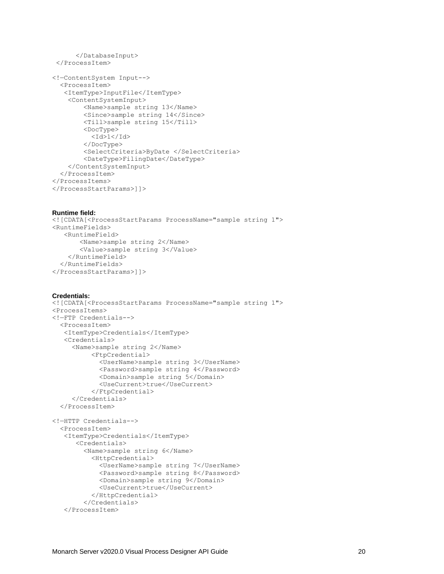```
 </DatabaseInput>
 </ProcessItem>
<!—ContentSystem Input-->
   <ProcessItem>
    <ItemType>InputFile</ItemType>
     <ContentSystemInput>
         <Name>sample string 13</Name>
         <Since>sample string 14</Since>
         <Till>sample string 15</Till>
         <DocType>
          <Id>1</Id>
         </DocType>
         <SelectCriteria>ByDate </SelectCriteria>
         <DateType>FilingDate</DateType>
     </ContentSystemInput>
   </ProcessItem>
</ProcessItems>
</ProcessStartParams>]]>
```
#### **Runtime field:**

```
<![CDATA[<ProcessStartParams ProcessName="sample string 1">
<RuntimeFields>
    <RuntimeField>
        <Name>sample string 2</Name>
        <Value>sample string 3</Value>
     </RuntimeField>
   </RuntimeFields>
</ProcessStartParams>]]>
```
#### **Credentials:**

```
<![CDATA[<ProcessStartParams ProcessName="sample string 1">
<ProcessItems>
<!—FTP Credentials-->
   <ProcessItem> 
    <ItemType>Credentials</ItemType>
    <Credentials>
      <Name>sample string 2</Name>
           <FtpCredential>
             <UserName>sample string 3</UserName>
             <Password>sample string 4</Password>
             <Domain>sample string 5</Domain>
             <UseCurrent>true</UseCurrent>
           </FtpCredential>
      </Credentials>
   </ProcessItem>
<!—HTTP Credentials-->
   <ProcessItem> 
    <ItemType>Credentials</ItemType>
       <Credentials>
         <Name>sample string 6</Name>
           <HttpCredential>
             <UserName>sample string 7</UserName>
             <Password>sample string 8</Password>
             <Domain>sample string 9</Domain>
             <UseCurrent>true</UseCurrent>
           </HttpCredential>
         </Credentials>
    </ProcessItem>
```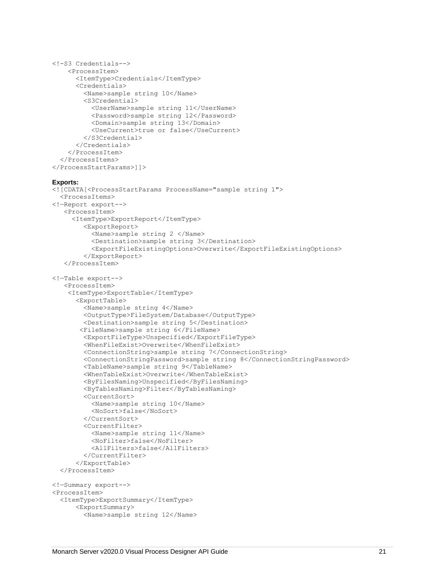```
<!-S3 Credentials-->
     <ProcessItem>
       <ItemType>Credentials</ItemType>
       <Credentials>
         <Name>sample string 10</Name> 
         <S3Credential>
           <UserName>sample string 11</UserName>
           <Password>sample string 12</Password>
           <Domain>sample string 13</Domain>
           <UseCurrent>true or false</UseCurrent>
         </S3Credential> 
       </Credentials>
     </ProcessItem>
   </ProcessItems>
</ProcessStartParams>]]>
Exports:
<![CDATA[<ProcessStartParams ProcessName="sample string 1">
   <ProcessItems>
<!—Report export-->
    <ProcessItem>
      <ItemType>ExportReport</ItemType>
         <ExportReport>
           <Name>sample string 2 </Name>
           <Destination>sample string 3</Destination>
           <ExportFileExistingOptions>Overwrite</ExportFileExistingOptions>
         </ExportReport>
    </ProcessItem>
<!—Table export-->
    <ProcessItem>
     <ItemType>ExportTable</ItemType>
       <ExportTable>
         <Name>sample string 4</Name>
         <OutputType>FileSystem/Database</OutputType>
         <Destination>sample string 5</Destination>
        <FileName>sample string 6</FileName>
         <ExportFileType>Unspecified</ExportFileType>
         <WhenFileExist>Overwrite</WhenFileExist>
         <ConnectionString>sample string 7</ConnectionString>
         <ConnectionStringPassword>sample string 8</ConnectionStringPassword>
         <TableName>sample string 9</TableName>
         <WhenTableExist>Overwrite</WhenTableExist>
         <ByFilesNaming>Unspecified</ByFilesNaming>
         <ByTablesNaming>Filter</ByTablesNaming>
         <CurrentSort>
           <Name>sample string 10</Name>
           <NoSort>false</NoSort>
         </CurrentSort>
         <CurrentFilter>
           <Name>sample string 11</Name>
           <NoFilter>false</NoFilter>
           <AllFilters>false</AllFilters>
         </CurrentFilter>
       </ExportTable>
   </ProcessItem>
<!—Summary export-->
<ProcessItem>
   <ItemType>ExportSummary</ItemType>
       <ExportSummary>
         <Name>sample string 12</Name>
```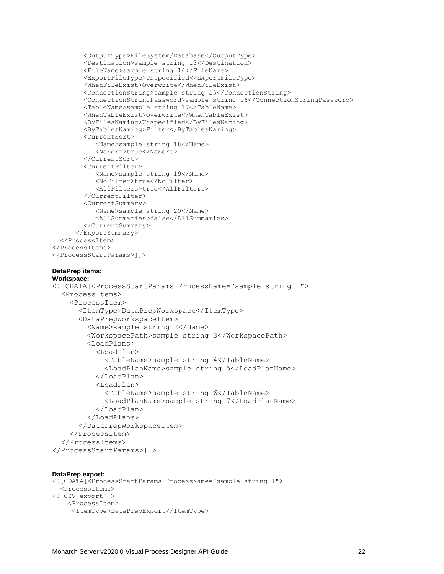```
 <OutputType>FileSystem/Database</OutputType>
         <Destination>sample string 13</Destination>
         <FileName>sample string 14</FileName>
         <ExportFileType>Unspecified</ExportFileType>
         <WhenFileExist>Overwrite</WhenFileExist>
         <ConnectionString>sample string 15</ConnectionString>
         <ConnectionStringPassword>sample string 16</ConnectionStringPassword>
         <TableName>sample string 17</TableName>
         <WhenTableExist>Overwrite</WhenTableExist>
         <ByFilesNaming>Unspecified</ByFilesNaming>
         <ByTablesNaming>Filter</ByTablesNaming>
         <CurrentSort>
            <Name>sample string 18</Name>
           <NoSort>true</NoSort>
         </CurrentSort>
         <CurrentFilter>
            <Name>sample string 19</Name>
            <NoFilter>true</NoFilter>
            <AllFilters>true</AllFilters>
         </CurrentFilter>
         <CurrentSummary>
            <Name>sample string 20</Name>
            <AllSummaries>false</AllSummaries>
         </CurrentSummary>
       </ExportSummary>
   </ProcessItem>
</ProcessItems>
</ProcessStartParams>]]>
DataPrep items:
Workspace:
<! [CDATA [<ProcessStartParams ProcessName="sample string 1">
   <ProcessItems>
     <ProcessItem>
       <ItemType>DataPrepWorkspace</ItemType>
       <DataPrepWorkspaceItem>
          <Name>sample string 2</Name>
          <WorkspacePath>sample string 3</WorkspacePath>
          <LoadPlans>
            <LoadPlan>
              <TableName>sample string 4</TableName>
              <LoadPlanName>sample string 5</LoadPlanName>
            </LoadPlan>
            <LoadPlan>
              <TableName>sample string 6</TableName>
              <LoadPlanName>sample string 7</LoadPlanName>
            </LoadPlan>
          </LoadPlans>
       </DataPrepWorkspaceItem>
     </ProcessItem>
   </ProcessItems>
```

```
</ProcessStartParams>]]>
```

```
DataPrep export:
<![CDATA[<ProcessStartParams ProcessName="sample string 1">
   <ProcessItems>
<!—CSV export-->
     <ProcessItem>
      <ItemType>DataPrepExport</ItemType>
```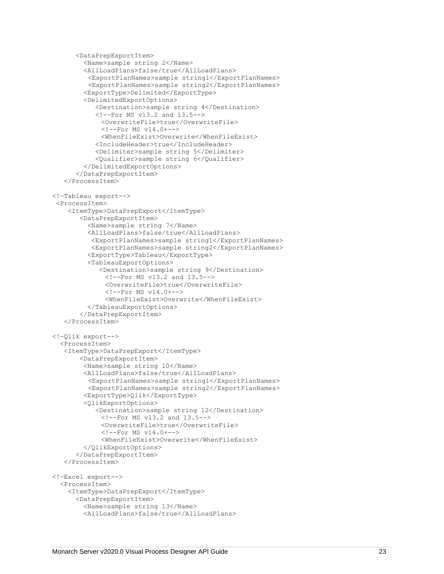```
 <DataPrepExportItem>
         <Name>sample string 2</Name>
         <AllLoadPlans>false/true</AllLoadPlans>
         <ExportPlanNames>sample string1</ExportPlanNames>
         <ExportPlanNames>sample string2</ExportPlanNames>
         <ExportType>Delimited</ExportType>
         <DelimitedExportOptions>
            <Destination>sample string 4</Destination>
            <!--For MS v13.2 and 13.5-->
             <OverwriteFile>true</OverwriteFile>
             \langle !--For MS v14.0+-->
             <WhenFileExist>Overwrite</WhenFileExist>
            <IncludeHeader>true</IncludeHeader>
            <Delimiter>sample string 5</Delimiter>
            <Qualifier>sample string 6</Qualifier>
         </DelimitedExportOptions>
       </DataPrepExportItem>
    </ProcessItem>
<!—Tableau export-->
 <ProcessItem>
     <ItemType>DataPrepExport</ItemType>
        <DataPrepExportItem>
          <Name>sample string 7</Name>
          <AllLoadPlans>false/true</AllLoadPlans>
          <ExportPlanNames>sample string1</ExportPlanNames>
          <ExportPlanNames>sample string2</ExportPlanNames>
          <ExportType>Tableau</ExportType>
          <TableauExportOptions>
             <Destination>sample string 9</Destination>
              \langle --For MS v13.2 and 13.5-->
              <OverwriteFile>true</OverwriteFile>
              \langle !--For MS v14.0+-->
              <WhenFileExist>Overwrite</WhenFileExist>
          </TableauExportOptions>
        </DataPrepExportItem>
    </ProcessItem>
<!—Qlik export-->
   <ProcessItem>
    <ItemType>DataPrepExport</ItemType>
        <DataPrepExportItem>
         <Name>sample string 10</Name>
         <AllLoadPlans>false/true</AllLoadPlans>
         <ExportPlanNames>sample string1</ExportPlanNames>
         <ExportPlanNames>sample string2</ExportPlanNames>
         <ExportType>Qlik</ExportType>
         <QlikExportOptions>
            <Destination>sample string 12</Destination>
             \langle !--For MS v13.2 and 13.5-->
             <OverwriteFile>true</OverwriteFile>
             \langle!--For MS v14.0+-->
             <WhenFileExist>Overwrite</WhenFileExist>
         </QlikExportOptions>
       </DataPrepExportItem>
    </ProcessItem>
<!—Excel export-->
   <ProcessItem>
     <ItemType>DataPrepExport</ItemType>
       <DataPrepExportItem>
         <Name>sample string 13</Name>
         <AllLoadPlans>false/true</AllLoadPlans>
```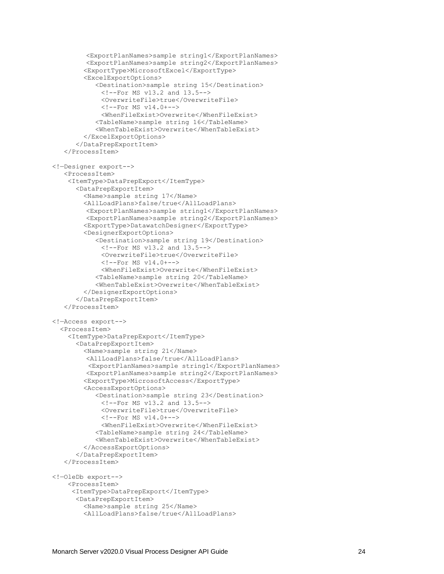```
 <ExportPlanNames>sample string1</ExportPlanNames>
          <ExportPlanNames>sample string2</ExportPlanNames>
         <ExportType>MicrosoftExcel</ExportType>
         <ExcelExportOptions>
            <Destination>sample string 15</Destination>
             \langle --For MS v13.2 and 13.5-->
             <OverwriteFile>true</OverwriteFile>
             \langle !--For MS v14.0+-->
             <WhenFileExist>Overwrite</WhenFileExist>
            <TableName>sample string 16</TableName>
            <WhenTableExist>Overwrite</WhenTableExist>
         </ExcelExportOptions>
       </DataPrepExportItem>
    </ProcessItem>
<!—Designer export-->
    <ProcessItem>
     <ItemType>DataPrepExport</ItemType>
       <DataPrepExportItem>
         <Name>sample string 17</Name>
         <AllLoadPlans>false/true</AllLoadPlans>
          <ExportPlanNames>sample string1</ExportPlanNames>
          <ExportPlanNames>sample string2</ExportPlanNames>
         <ExportType>DatawatchDesigner</ExportType>
         <DesignerExportOptions>
            <Destination>sample string 19</Destination>
             \langle !--For MS v13.2 and 13.5-->
             <OverwriteFile>true</OverwriteFile>
             \langle !--For MS v14.0+-->
             <WhenFileExist>Overwrite</WhenFileExist>
            <TableName>sample string 20</TableName>
            <WhenTableExist>Overwrite</WhenTableExist>
         </DesignerExportOptions>
       </DataPrepExportItem>
    </ProcessItem>
<!—Access export-->
   <ProcessItem>
     <ItemType>DataPrepExport</ItemType>
       <DataPrepExportItem>
         <Name>sample string 21</Name> 
          <AllLoadPlans>false/true</AllLoadPlans>
         <ExportPlanNames>sample string1</ExportPlanNames>
          <ExportPlanNames>sample string2</ExportPlanNames>
         <ExportType>MicrosoftAccess</ExportType>
         <AccessExportOptions>
            <Destination>sample string 23</Destination>
             \langle --For MS v13.2 and 13.5-->
             <OverwriteFile>true</OverwriteFile>
             \langle !--For MS v14.0+-->
             <WhenFileExist>Overwrite</WhenFileExist>
            <TableName>sample string 24</TableName>
            <WhenTableExist>Overwrite</WhenTableExist>
         </AccessExportOptions>
       </DataPrepExportItem>
    </ProcessItem>
<!—OleDb export-->
     <ProcessItem>
      <ItemType>DataPrepExport</ItemType>
       <DataPrepExportItem>
         <Name>sample string 25</Name>
         <AllLoadPlans>false/true</AllLoadPlans>
```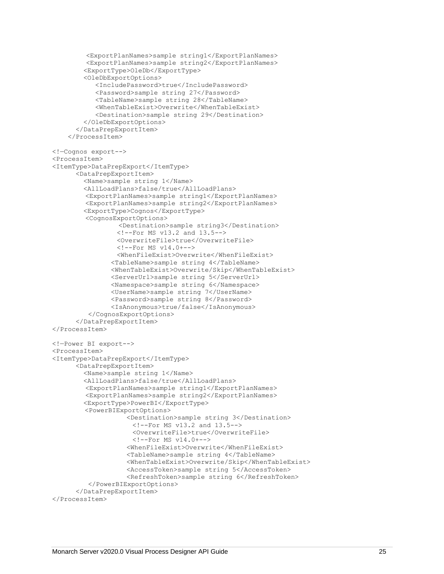```
 <ExportPlanNames>sample string1</ExportPlanNames>
          <ExportPlanNames>sample string2</ExportPlanNames>
         <ExportType>OleDb</ExportType>
         <OleDbExportOptions>
            <IncludePassword>true</IncludePassword>
            <Password>sample string 27</Password>
            <TableName>sample string 28</TableName>
            <WhenTableExist>Overwrite</WhenTableExist>
            <Destination>sample string 29</Destination>
         </OleDbExportOptions>
       </DataPrepExportItem>
     </ProcessItem>
<!—Cognos export-->
<ProcessItem>
<ItemType>DataPrepExport</ItemType>
       <DataPrepExportItem>
         <Name>sample string 1</Name>
         <AllLoadPlans>false/true</AllLoadPlans>
        <ExportPlanNames>sample string1</ExportPlanNames>
         <ExportPlanNames>sample string2</ExportPlanNames>
         <ExportType>Cognos</ExportType>
         <CognosExportOptions>
                  <Destination>sample string3</Destination>
                  <!--For MS v13.2 and 13.5-->
                  <OverwriteFile>true</OverwriteFile>
                 \langle!--For MS v14.0+-->
                  <WhenFileExist>Overwrite</WhenFileExist>
                <TableName>sample string 4</TableName>
                <WhenTableExist>Overwrite/Skip</WhenTableExist>
                <ServerUrl>sample string 5</ServerUrl>
                <Namespace>sample string 6</Namespace>
                <UserName>sample string 7</UserName>
                <Password>sample string 8</Password>
                <IsAnonymous>true/false</IsAnonymous>
         </CognosExportOptions>
       </DataPrepExportItem>
</ProcessItem>
<!—Power BI export--> 
<ProcessItem>
<ItemType>DataPrepExport</ItemType>
       <DataPrepExportItem>
         <Name>sample string 1</Name>
         <AllLoadPlans>false/true</AllLoadPlans>
        <ExportPlanNames>sample string1</ExportPlanNames>
         <ExportPlanNames>sample string2</ExportPlanNames>
         <ExportType>PowerBI</ExportType>
        <PowerBIExportOptions>
                     <Destination>sample string 3</Destination>
                     \langle --For MS v13.2 and 13.5-->
                      <OverwriteFile>true</OverwriteFile>
                     \langle !--For MS v14.0+-->
                     <WhenFileExist>Overwrite</WhenFileExist>
                    <TableName>sample string 4</TableName>
                    <WhenTableExist>Overwrite/Skip</WhenTableExist>
                   <AccessToken>sample string 5</AccessToken>
                    <RefreshToken>sample string 6</RefreshToken>
         </PowerBIExportOptions> 
       </DataPrepExportItem>
</ProcessItem>
```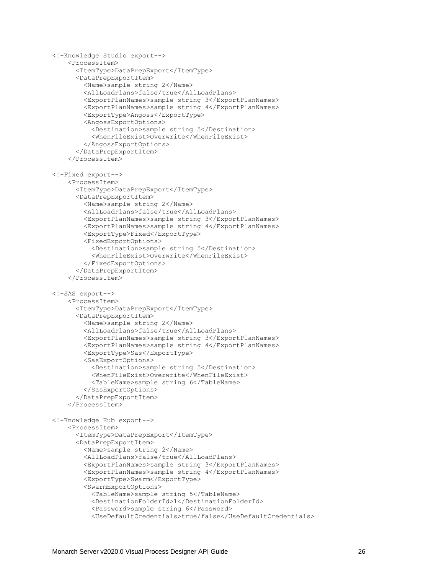```
<!-Knowledge Studio export-->
     <ProcessItem>
       <ItemType>DataPrepExport</ItemType>
       <DataPrepExportItem>
         <Name>sample string 2</Name>
         <AllLoadPlans>false/true</AllLoadPlans>
         <ExportPlanNames>sample string 3</ExportPlanNames>
         <ExportPlanNames>sample string 4</ExportPlanNames>
         <ExportType>Angoss</ExportType>
         <AngossExportOptions>
           <Destination>sample string 5</Destination>
           <WhenFileExist>Overwrite</WhenFileExist>
         </AngossExportOptions>
       </DataPrepExportItem>
     </ProcessItem>
<!-Fixed export-->
     <ProcessItem>
       <ItemType>DataPrepExport</ItemType>
       <DataPrepExportItem>
         <Name>sample string 2</Name>
         <AllLoadPlans>false/true</AllLoadPlans>
         <ExportPlanNames>sample string 3</ExportPlanNames>
         <ExportPlanNames>sample string 4</ExportPlanNames>
         <ExportType>Fixed</ExportType>
         <FixedExportOptions>
           <Destination>sample string 5</Destination>
           <WhenFileExist>Overwrite</WhenFileExist>
         </FixedExportOptions>
       </DataPrepExportItem>
     </ProcessItem>
<!-SAS export-->
     <ProcessItem>
       <ItemType>DataPrepExport</ItemType>
       <DataPrepExportItem>
         <Name>sample string 2</Name>
         <AllLoadPlans>false/true</AllLoadPlans>
         <ExportPlanNames>sample string 3</ExportPlanNames>
         <ExportPlanNames>sample string 4</ExportPlanNames>
         <ExportType>Sas</ExportType>
         <SasExportOptions>
           <Destination>sample string 5</Destination>
           <WhenFileExist>Overwrite</WhenFileExist>
           <TableName>sample string 6</TableName>
         </SasExportOptions>
       </DataPrepExportItem>
     </ProcessItem>
<!-Knowledge Hub export-->
     <ProcessItem>
       <ItemType>DataPrepExport</ItemType>
       <DataPrepExportItem>
         <Name>sample string 2</Name>
         <AllLoadPlans>false/true</AllLoadPlans>
         <ExportPlanNames>sample string 3</ExportPlanNames>
         <ExportPlanNames>sample string 4</ExportPlanNames>
         <ExportType>Swarm</ExportType>
         <SwarmExportOptions>
           <TableName>sample string 5</TableName>
           <DestinationFolderId>1</DestinationFolderId>
           <Password>sample string 6</Password>
           <UseDefaultCredentials>true/false</UseDefaultCredentials>
```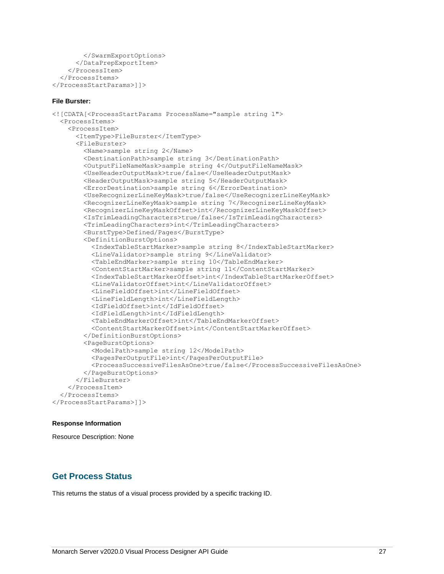```
 </SwarmExportOptions>
       </DataPrepExportItem>
     </ProcessItem>
   </ProcessItems>
</ProcessStartParams>]]>
```
#### **File Burster:**

```
<![CDATA[<ProcessStartParams ProcessName="sample string 1">
  <ProcessItems>
     <ProcessItem>
       <ItemType>FileBurster</ItemType>
       <FileBurster>
         <Name>sample string 2</Name>
         <DestinationPath>sample string 3</DestinationPath>
         <OutputFileNameMask>sample string 4</OutputFileNameMask>
         <UseHeaderOutputMask>true/false</UseHeaderOutputMask>
         <HeaderOutputMask>sample string 5</HeaderOutputMask>
         <ErrorDestination>sample string 6</ErrorDestination>
         <UseRecognizerLineKeyMask>true/false</UseRecognizerLineKeyMask>
         <RecognizerLineKeyMask>sample string 7</RecognizerLineKeyMask>
         <RecognizerLineKeyMaskOffset>int</RecognizerLineKeyMaskOffset>
         <IsTrimLeadingCharacters>true/false</IsTrimLeadingCharacters>
         <TrimLeadingCharacters>int</TrimLeadingCharacters>
         <BurstType>Defined/Pages</BurstType>
         <DefinitionBurstOptions>
           <IndexTableStartMarker>sample string 8</IndexTableStartMarker>
           <LineValidator>sample string 9</LineValidator>
           <TableEndMarker>sample string 10</TableEndMarker>
           <ContentStartMarker>sample string 11</ContentStartMarker>
           <IndexTableStartMarkerOffset>int</IndexTableStartMarkerOffset>
           <LineValidatorOffset>int</LineValidatorOffset>
           <LineFieldOffset>int</LineFieldOffset>
           <LineFieldLength>int</LineFieldLength>
           <IdFieldOffset>int</IdFieldOffset>
           <IdFieldLength>int</IdFieldLength>
           <TableEndMarkerOffset>int</TableEndMarkerOffset>
           <ContentStartMarkerOffset>int</ContentStartMarkerOffset>
         </DefinitionBurstOptions>
         <PageBurstOptions>
           <ModelPath>sample string 12</ModelPath>
           <PagesPerOutputFile>int</PagesPerOutputFile>
           <ProcessSuccessiveFilesAsOne>true/false</ProcessSuccessiveFilesAsOne>
         </PageBurstOptions>
       </FileBurster>
     </ProcessItem>
   </ProcessItems>
</ProcessStartParams>]]>
```
#### **Response Information**

Resource Description: None

### <span id="page-28-0"></span>**Get Process Status**

This returns the status of a visual process provided by a specific tracking ID.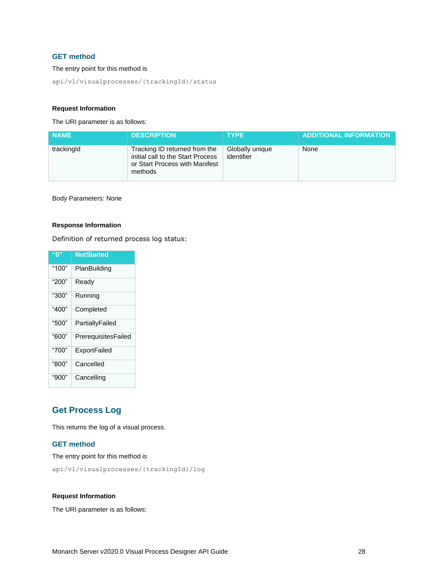### **GET method**

#### The entry point for this method is

api/v1/visualprocesses/{trackingId}/status

#### **Request Information**

The URI parameter is as follows:

| <b>NAME</b> | <b>DESCRIPTION</b>                                                                                              | <b>TYPE</b>                   | <b>ADDITIONAL INFORMATION</b> |
|-------------|-----------------------------------------------------------------------------------------------------------------|-------------------------------|-------------------------------|
| trackingId  | Tracking ID returned from the<br>initial call to the Start Process<br>or Start Process with Manifest<br>methods | Globally unique<br>identifier | None                          |

Body Parameters: None

#### **Response Information**

Definition of returned process log status:

| "በ"   | <b>NotStarted</b>   |
|-------|---------------------|
| "100" | PlanBuilding        |
| "200" | Ready               |
| "300" | Running             |
| "400" | Completed           |
| "500" | PartiallyFailed     |
| "600" | PrerequisitesFailed |
| "700" | ExportFailed        |
| "800" | Cancelled           |
| "900" | Cancelling          |

# <span id="page-29-0"></span>**Get Process Log**

This returns the log of a visual process.

#### **GET method**

The entry point for this method is

api/v1/visualprocesses/{trackingId}/log

#### **Request Information**

The URI parameter is as follows: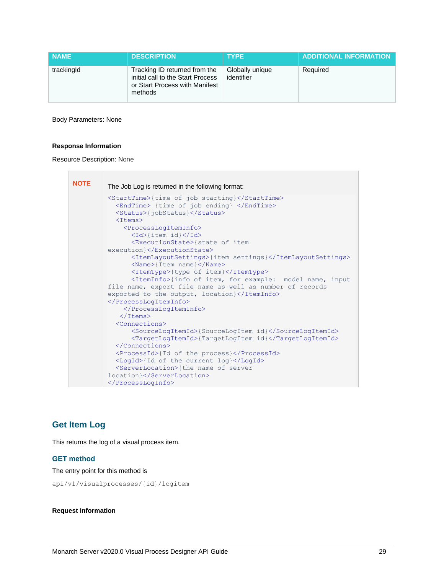| <b>NAME</b> | <b>DESCRIPTION</b>                                                                                              | <b>TYPE</b>                   | <b>ADDITIONAL INFORMATION</b> |
|-------------|-----------------------------------------------------------------------------------------------------------------|-------------------------------|-------------------------------|
| trackingId  | Tracking ID returned from the<br>initial call to the Start Process<br>or Start Process with Manifest<br>methods | Globally unique<br>identifier | Required                      |

Body Parameters: None

#### **Response Information**

Resource Description: None

| <b>NOTE</b> | The Job Log is returned in the following format:                                                                                            |
|-------------|---------------------------------------------------------------------------------------------------------------------------------------------|
|             | <starttime>{time of job starting}</starttime><br><endtime> {time of job ending} </endtime><br><status>{jobStatus}</status><br>$<$ Items $>$ |
|             | <processlogiteminfo><br/><id>{item id}</id></processlogiteminfo>                                                                            |
|             | <executionstate>{state of item<br/>execution}</executionstate>                                                                              |
|             | <itemlayoutsettings>{item settings}</itemlayoutsettings><br>$\langle Name \rangle$ {Item name} $\langle$ /Name>                             |
|             | <itemtype>{type of item}</itemtype><br><iteminfo>{info of item, for example: model name, input</iteminfo>                                   |
|             | file name, export file name as well as number of records<br>exported to the output, location}                                               |
|             |                                                                                                                                             |
|             | <br>$\langle$ /Items>                                                                                                                       |
|             | <connections></connections>                                                                                                                 |
|             | <sourcelogitemid>{SourceLogItem id}</sourcelogitemid><br><targetlogitemid>{TargetLogItem id}</targetlogitemid>                              |
|             | <br><processid>{Id of the process}</processid>                                                                                              |
|             | <logid>{Id of the current log}</logid>                                                                                                      |
|             | <serverlocation>{the name of server</serverlocation>                                                                                        |
|             | location}                                                                                                                                   |
|             |                                                                                                                                             |

# <span id="page-30-0"></span>**Get Item Log**

This returns the log of a visual process item.

#### **GET method**

The entry point for this method is

api/v1/visualprocesses/{id}/logitem

#### **Request Information**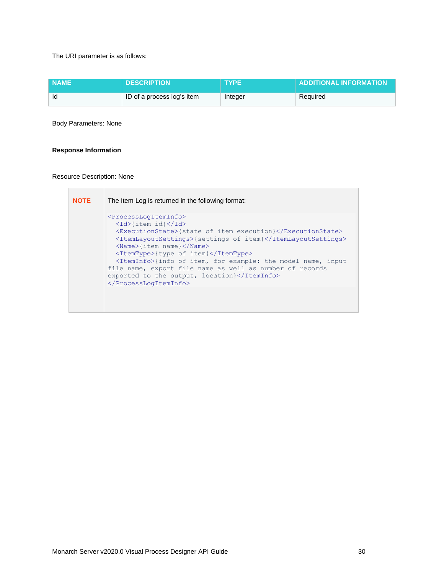The URI parameter is as follows:

| <b>NAME</b> | <b>DESCRIPTION</b>         | <b>TYPE</b> | <b>ADDITIONAL INFORMATION</b> |
|-------------|----------------------------|-------------|-------------------------------|
| ld          | ID of a process log's item | Integer     | Required                      |

Body Parameters: None

#### **Response Information**

Resource Description: None

**NOTE** The Item Log is returned in the following format: <ProcessLogItemInfo> <Id>{item id}</Id> <ExecutionState>{state of item execution}</ExecutionState> <ItemLayoutSettings>{settings of item}</ItemLayoutSettings> <Name>{item name}</Name> <ItemType>{type of item}</ItemType> <ItemInfo>{info of item, for example: the model name, input file name, export file name as well as number of records exported to the output, location}</ItemInfo> </ProcessLogItemInfo>